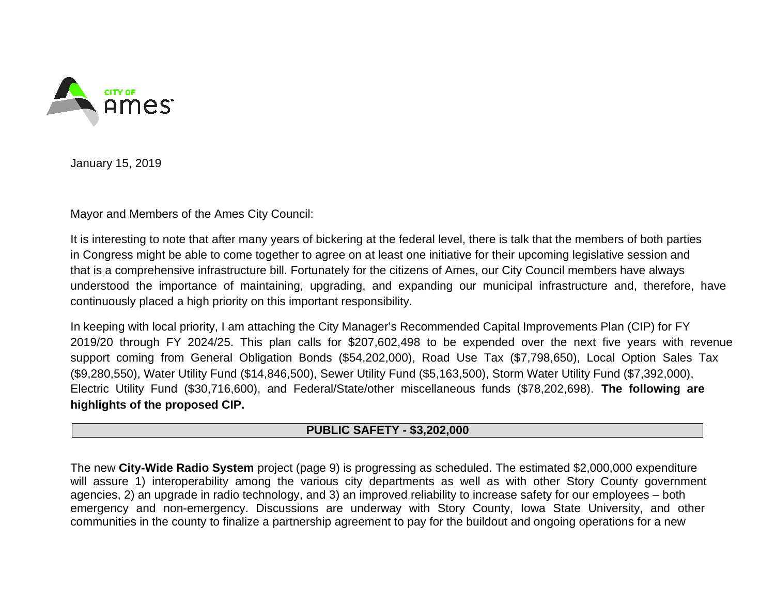

January 15, 2019

Mayor and Members of the Ames City Council:

It is interesting to note that after many years of bickering at the federal level, there is talk that the members of both parties in Congress might be able to come together to agree on at least one initiative for their upcoming legislative session and that is a comprehensive infrastructure bill. Fortunately for the citizens of Ames, our City Council members have always understood the importance of maintaining, upgrading, and expanding our municipal infrastructure and, therefore, have continuously placed a high priority on this important responsibility.

In keeping with local priority, I am attaching the City Manager's Recommended Capital Improvements Plan (CIP) for FY 2019/20 through FY 2024/25. This plan calls for \$207,602,498 to be expended over the next five years with revenue support coming from General Obligation Bonds (\$54,202,000), Road Use Tax (\$7,798,650), Local Option Sales Tax (\$9,280,550), Water Utility Fund (\$14,846,500), Sewer Utility Fund (\$5,163,500), Storm Water Utility Fund (\$7,392,000), Electric Utility Fund (\$30,716,600), and Federal/State/other miscellaneous funds (\$78,202,698). **The following are highlights of the proposed CIP.** 

### **PUBLIC SAFETY - \$3,202,000**

The new **City-Wide Radio System** project (page 9) is progressing as scheduled. The estimated \$2,000,000 expenditure will assure 1) interoperability among the various city departments as well as with other Story County government agencies, 2) an upgrade in radio technology, and 3) an improved reliability to increase safety for our employees – both emergency and non-emergency. Discussions are underway with Story County, Iowa State University, and other communities in the county to finalize a partnership agreement to pay for the buildout and ongoing operations for a new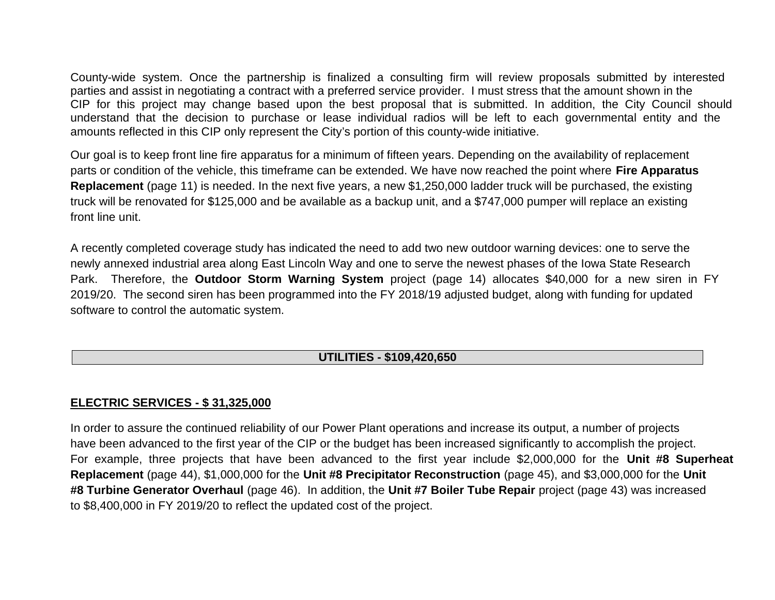County-wide system. Once the partnership is finalized a consulting firm will review proposals submitted by interested parties and assist in negotiating a contract with a preferred service provider. I must stress that the amount shown in the CIP for this project may change based upon the best proposal that is submitted. In addition, the City Council should understand that the decision to purchase or lease individual radios will be left to each governmental entity and the amounts reflected in this CIP only represent the City's portion of this county-wide initiative.

Our goal is to keep front line fire apparatus for a minimum of fifteen years. Depending on the availability of replacement parts or condition of the vehicle, this timeframe can be extended. We have now reached the point where **Fire Apparatus Replacement** (page 11) is needed. In the next five years, a new \$1,250,000 ladder truck will be purchased, the existing truck will be renovated for \$125,000 and be available as a backup unit, and a \$747,000 pumper will replace an existing front line unit.

A recently completed coverage study has indicated the need to add two new outdoor warning devices: one to serve the newly annexed industrial area along East Lincoln Way and one to serve the newest phases of the Iowa State Research Park. Therefore, the **Outdoor Storm Warning System** project (page 14) allocates \$40,000 for a new siren in FY 2019/20. The second siren has been programmed into the FY 2018/19 adjusted budget, along with funding for updated software to control the automatic system.

# **UTILITIES - \$109,420,650**

# **ELECTRIC SERVICES - \$ 31,325,000**

In order to assure the continued reliability of our Power Plant operations and increase its output, a number of projects have been advanced to the first year of the CIP or the budget has been increased significantly to accomplish the project. For example, three projects that have been advanced to the first year include \$2,000,000 for the **Unit #8 Superheat Replacement** (page 44), \$1,000,000 for the **Unit #8 Precipitator Reconstruction** (page 45), and \$3,000,000 for the **Unit #8 Turbine Generator Overhaul** (page 46). In addition, the **Unit #7 Boiler Tube Repair** project (page 43) was increased to \$8,400,000 in FY 2019/20 to reflect the updated cost of the project.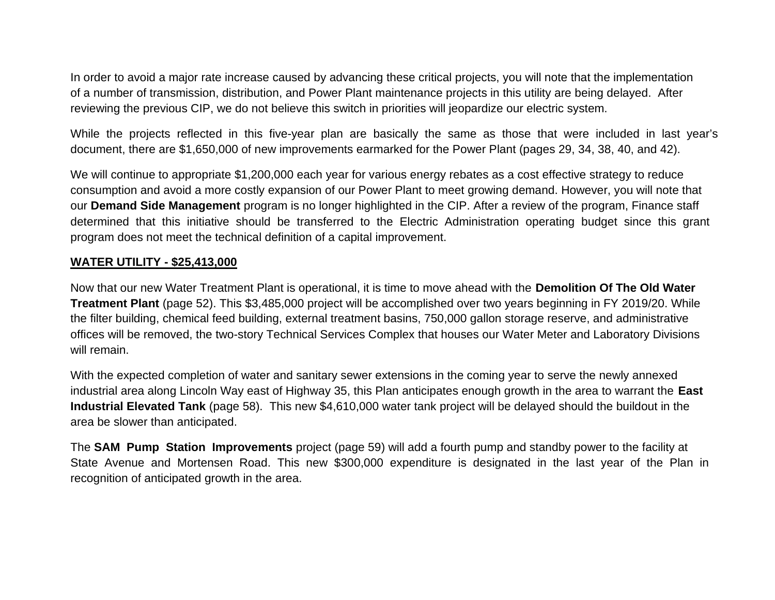In order to avoid a major rate increase caused by advancing these critical projects, you will note that the implementation of a number of transmission, distribution, and Power Plant maintenance projects in this utility are being delayed. After reviewing the previous CIP, we do not believe this switch in priorities will jeopardize our electric system.

While the projects reflected in this five-year plan are basically the same as those that were included in last year's document, there are \$1,650,000 of new improvements earmarked for the Power Plant (pages 29, 34, 38, 40, and 42).

We will continue to appropriate \$1,200,000 each year for various energy rebates as a cost effective strategy to reduce consumption and avoid a more costly expansion of our Power Plant to meet growing demand. However, you will note that our **Demand Side Management** program is no longer highlighted in the CIP. After a review of the program, Finance staff determined that this initiative should be transferred to the Electric Administration operating budget since this grant program does not meet the technical definition of a capital improvement.

### **WATER UTILITY - \$25,413,000**

Now that our new Water Treatment Plant is operational, it is time to move ahead with the **Demolition Of The Old Water Treatment Plant** (page 52). This \$3,485,000 project will be accomplished over two years beginning in FY 2019/20. While the filter building, chemical feed building, external treatment basins, 750,000 gallon storage reserve, and administrative offices will be removed, the two-story Technical Services Complex that houses our Water Meter and Laboratory Divisions will remain.

With the expected completion of water and sanitary sewer extensions in the coming year to serve the newly annexed industrial area along Lincoln Way east of Highway 35, this Plan anticipates enough growth in the area to warrant the **East Industrial Elevated Tank** (page 58). This new \$4,610,000 water tank project will be delayed should the buildout in the area be slower than anticipated.

The **SAM Pump Station Improvements** project (page 59) will add a fourth pump and standby power to the facility at State Avenue and Mortensen Road. This new \$300,000 expenditure is designated in the last year of the Plan in recognition of anticipated growth in the area.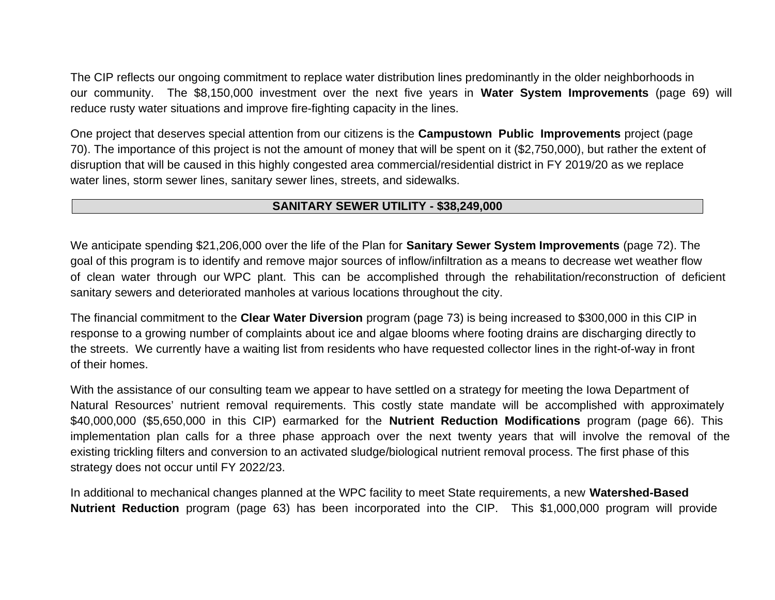The CIP reflects our ongoing commitment to replace water distribution lines predominantly in the older neighborhoods in our community. The \$8,150,000 investment over the next five years in **Water System Improvements** (page 69) will reduce rusty water situations and improve fire-fighting capacity in the lines.

One project that deserves special attention from our citizens is the **Campustown Public Improvements** project (page 70). The importance of this project is not the amount of money that will be spent on it (\$2,750,000), but rather the extent of disruption that will be caused in this highly congested area commercial/residential district in FY 2019/20 as we replace water lines, storm sewer lines, sanitary sewer lines, streets, and sidewalks.

### **SANITARY SEWER UTILITY - \$38,249,000**

We anticipate spending \$21,206,000 over the life of the Plan for **Sanitary Sewer System Improvements** (page 72). The goal of this program is to identify and remove major sources of inflow/infiltration as a means to decrease wet weather flow of clean water through our WPC plant. This can be accomplished through the rehabilitation/reconstruction of deficient sanitary sewers and deteriorated manholes at various locations throughout the city.

The financial commitment to the **Clear Water Diversion** program (page 73) is being increased to \$300,000 in this CIP in response to a growing number of complaints about ice and algae blooms where footing drains are discharging directly to the streets. We currently have a waiting list from residents who have requested collector lines in the right-of-way in front of their homes.

With the assistance of our consulting team we appear to have settled on a strategy for meeting the Iowa Department of Natural Resources' nutrient removal requirements. This costly state mandate will be accomplished with approximately \$40,000,000 (\$5,650,000 in this CIP) earmarked for the **Nutrient Reduction Modifications** program (page 66). This implementation plan calls for a three phase approach over the next twenty years that will involve the removal of the existing trickling filters and conversion to an activated sludge/biological nutrient removal process. The first phase of this strategy does not occur until FY 2022/23.

In additional to mechanical changes planned at the WPC facility to meet State requirements, a new **Watershed-Based Nutrient Reduction** program (page 63) has been incorporated into the CIP. This \$1,000,000 program will provide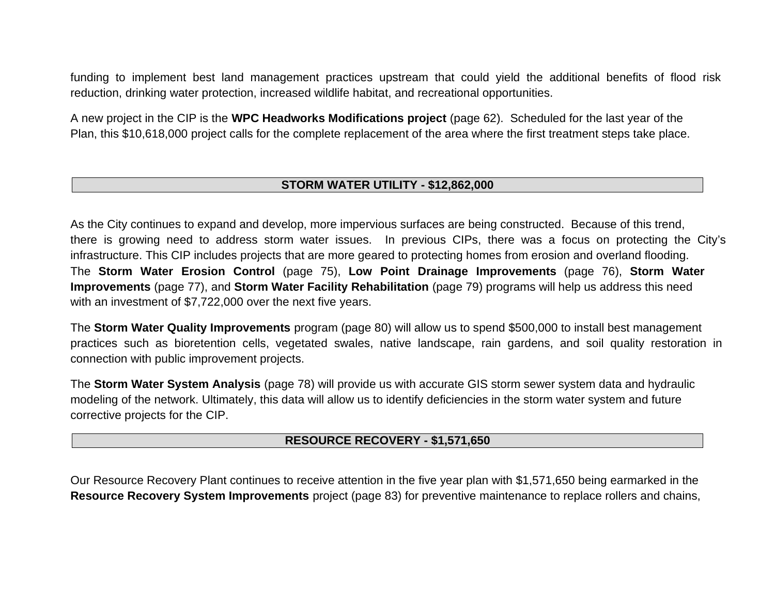funding to implement best land management practices upstream that could yield the additional benefits of flood risk reduction, drinking water protection, increased wildlife habitat, and recreational opportunities.

A new project in the CIP is the **WPC Headworks Modifications project** (page 62). Scheduled for the last year of the Plan, this \$10,618,000 project calls for the complete replacement of the area where the first treatment steps take place.

### **STORM WATER UTILITY - \$12,862,000**

As the City continues to expand and develop, more impervious surfaces are being constructed. Because of this trend, there is growing need to address storm water issues. In previous CIPs, there was a focus on protecting the City's infrastructure. This CIP includes projects that are more geared to protecting homes from erosion and overland flooding. The **Storm Water Erosion Control** (page 75), **Low Point Drainage Improvements** (page 76), **Storm Water Improvements** (page 77), and **Storm Water Facility Rehabilitation** (page 79) programs will help us address this need with an investment of \$7,722,000 over the next five years.

The **Storm Water Quality Improvements** program (page 80) will allow us to spend \$500,000 to install best management practices such as bioretention cells, vegetated swales, native landscape, rain gardens, and soil quality restoration in connection with public improvement projects.

The **Storm Water System Analysis** (page 78) will provide us with accurate GIS storm sewer system data and hydraulic modeling of the network. Ultimately, this data will allow us to identify deficiencies in the storm water system and future corrective projects for the CIP.

### **RESOURCE RECOVERY - \$1,571,650**

Our Resource Recovery Plant continues to receive attention in the five year plan with \$1,571,650 being earmarked in the **Resource Recovery System Improvements** project (page 83) for preventive maintenance to replace rollers and chains,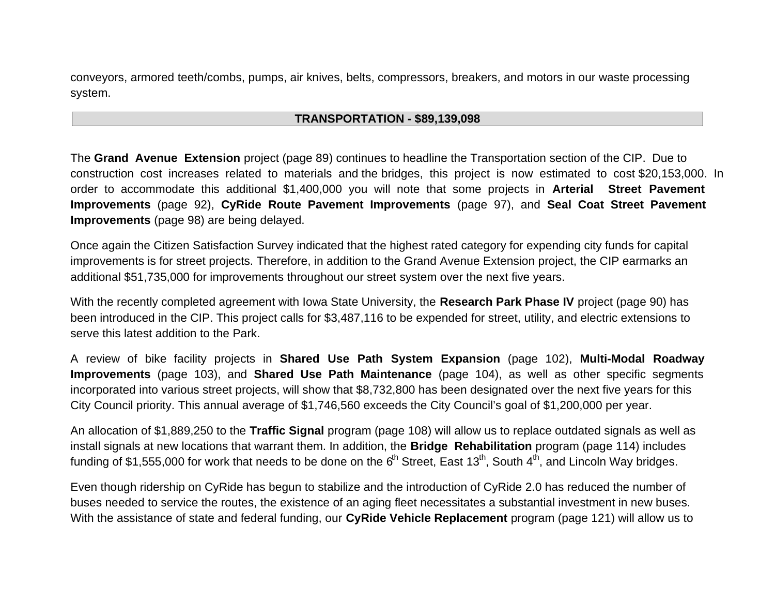conveyors, armored teeth/combs, pumps, air knives, belts, compressors, breakers, and motors in our waste processing system.

#### **TRANSPORTATION - \$89,139,098**

The **Grand Avenue Extension** project (page 89) continues to headline the Transportation section of the CIP. Due to construction cost increases related to materials and the bridges, this project is now estimated to cost \$20,153,000. In order to accommodate this additional \$1,400,000 you will note that some projects in **Arterial Street Pavement Improvements** (page 92), **CyRide Route Pavement Improvements** (page 97), and **Seal Coat Street Pavement Improvements** (page 98) are being delayed.

Once again the Citizen Satisfaction Survey indicated that the highest rated category for expending city funds for capital improvements is for street projects. Therefore, in addition to the Grand Avenue Extension project, the CIP earmarks an additional \$51,735,000 for improvements throughout our street system over the next five years.

With the recently completed agreement with Iowa State University, the **Research Park Phase IV** project (page 90) has been introduced in the CIP. This project calls for \$3,487,116 to be expended for street, utility, and electric extensions to serve this latest addition to the Park.

A review of bike facility projects in **Shared Use Path System Expansion** (page 102), **Multi-Modal Roadway Improvements** (page 103), and **Shared Use Path Maintenance** (page 104), as well as other specific segments incorporated into various street projects, will show that \$8,732,800 has been designated over the next five years for this City Council priority. This annual average of \$1,746,560 exceeds the City Council's goal of \$1,200,000 per year.

An allocation of \$1,889,250 to the **Traffic Signal** program (page 108) will allow us to replace outdated signals as well as install signals at new locations that warrant them. In addition, the **Bridge Rehabilitation** program (page 114) includes funding of \$1,555,000 for work that needs to be done on the  $6<sup>th</sup>$  Street, East 13<sup>th</sup>, South 4<sup>th</sup>, and Lincoln Way bridges.

Even though ridership on CyRide has begun to stabilize and the introduction of CyRide 2.0 has reduced the number of buses needed to service the routes, the existence of an aging fleet necessitates a substantial investment in new buses. With the assistance of state and federal funding, our **CyRide Vehicle Replacement** program (page 121) will allow us to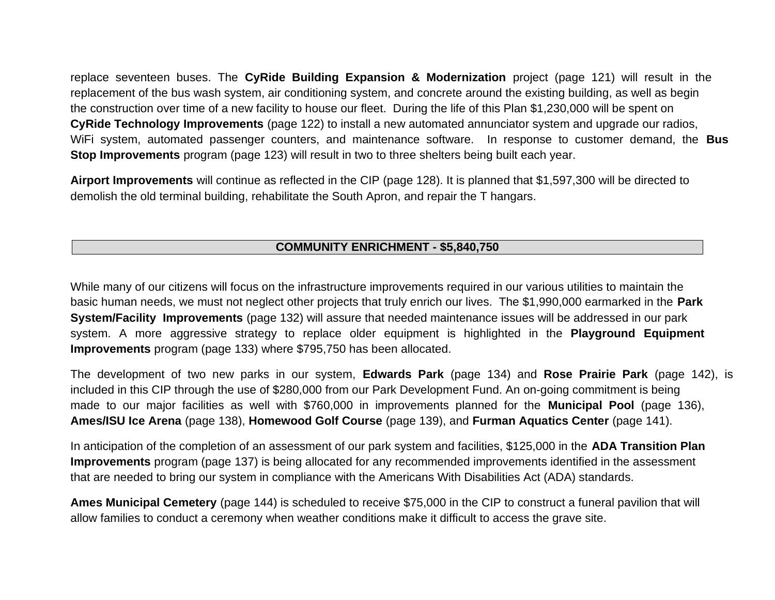replace seventeen buses. The **CyRide Building Expansion & Modernization** project (page 121) will result in the replacement of the bus wash system, air conditioning system, and concrete around the existing building, as well as begin the construction over time of a new facility to house our fleet. During the life of this Plan \$1,230,000 will be spent on **CyRide Technology Improvements** (page 122) to install a new automated annunciator system and upgrade our radios, WiFi system, automated passenger counters, and maintenance software. In response to customer demand, the **Bus Stop Improvements** program (page 123) will result in two to three shelters being built each year.

**Airport Improvements** will continue as reflected in the CIP (page 128). It is planned that \$1,597,300 will be directed to demolish the old terminal building, rehabilitate the South Apron, and repair the T hangars.

## **COMMUNITY ENRICHMENT - \$5,840,750**

While many of our citizens will focus on the infrastructure improvements required in our various utilities to maintain the basic human needs, we must not neglect other projects that truly enrich our lives. The \$1,990,000 earmarked in the **Park System/Facility Improvements** (page 132) will assure that needed maintenance issues will be addressed in our park system. A more aggressive strategy to replace older equipment is highlighted in the **Playground Equipment Improvements** program (page 133) where \$795,750 has been allocated.

The development of two new parks in our system, **Edwards Park** (page 134) and **Rose Prairie Park** (page 142), is included in this CIP through the use of \$280,000 from our Park Development Fund. An on-going commitment is being made to our major facilities as well with \$760,000 in improvements planned for the **Municipal Pool** (page 136), **Ames/ISU Ice Arena** (page 138), **Homewood Golf Course** (page 139), and **Furman Aquatics Center** (page 141).

In anticipation of the completion of an assessment of our park system and facilities, \$125,000 in the **ADA Transition Plan Improvements** program (page 137) is being allocated for any recommended improvements identified in the assessment that are needed to bring our system in compliance with the Americans With Disabilities Act (ADA) standards.

**Ames Municipal Cemetery** (page 144) is scheduled to receive \$75,000 in the CIP to construct a funeral pavilion that will allow families to conduct a ceremony when weather conditions make it difficult to access the grave site.